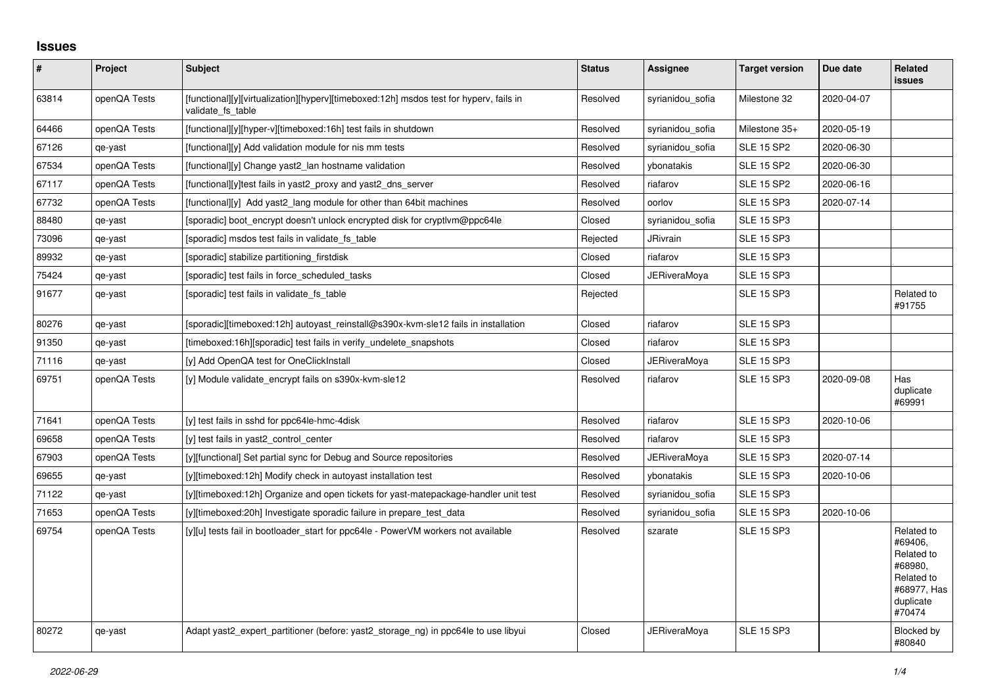## **Issues**

| $\vert$ # | <b>Project</b> | <b>Subject</b>                                                                                              | <b>Status</b> | <b>Assignee</b>     | <b>Target version</b> | Due date   | Related<br><b>issues</b>                                                                           |
|-----------|----------------|-------------------------------------------------------------------------------------------------------------|---------------|---------------------|-----------------------|------------|----------------------------------------------------------------------------------------------------|
| 63814     | openQA Tests   | [functional][y][virtualization][hyperv][timeboxed:12h] msdos test for hyperv, fails in<br>validate fs table | Resolved      | syrianidou sofia    | Milestone 32          | 2020-04-07 |                                                                                                    |
| 64466     | openQA Tests   | [functional][y][hyper-v][timeboxed:16h] test fails in shutdown                                              | Resolved      | syrianidou sofia    | Milestone 35+         | 2020-05-19 |                                                                                                    |
| 67126     | qe-yast        | [functional][y] Add validation module for nis mm tests                                                      | Resolved      | syrianidou_sofia    | <b>SLE 15 SP2</b>     | 2020-06-30 |                                                                                                    |
| 67534     | openQA Tests   | [functional][y] Change yast2 lan hostname validation                                                        | Resolved      | vbonatakis          | <b>SLE 15 SP2</b>     | 2020-06-30 |                                                                                                    |
| 67117     | openQA Tests   | [functional][y]test fails in yast2 proxy and yast2 dns server                                               | Resolved      | riafarov            | <b>SLE 15 SP2</b>     | 2020-06-16 |                                                                                                    |
| 67732     | openQA Tests   | [functional][y] Add yast2_lang module for other than 64bit machines                                         | Resolved      | oorlov              | <b>SLE 15 SP3</b>     | 2020-07-14 |                                                                                                    |
| 88480     | qe-yast        | [sporadic] boot encrypt doesn't unlock encrypted disk for cryptlym@ppc64le                                  | Closed        | syrianidou sofia    | <b>SLE 15 SP3</b>     |            |                                                                                                    |
| 73096     | qe-yast        | [sporadic] msdos test fails in validate fs table                                                            | Rejected      | JRivrain            | <b>SLE 15 SP3</b>     |            |                                                                                                    |
| 89932     | qe-yast        | [sporadic] stabilize partitioning firstdisk                                                                 | Closed        | riafarov            | <b>SLE 15 SP3</b>     |            |                                                                                                    |
| 75424     | qe-yast        | [sporadic] test fails in force_scheduled_tasks                                                              | Closed        | <b>JERiveraMoya</b> | <b>SLE 15 SP3</b>     |            |                                                                                                    |
| 91677     | qe-yast        | [sporadic] test fails in validate fs table                                                                  | Rejected      |                     | <b>SLE 15 SP3</b>     |            | Related to<br>#91755                                                                               |
| 80276     | qe-yast        | [sporadic][timeboxed:12h] autoyast reinstall@s390x-kvm-sle12 fails in installation                          | Closed        | riafarov            | <b>SLE 15 SP3</b>     |            |                                                                                                    |
| 91350     | qe-yast        | [timeboxed:16h][sporadic] test fails in verify_undelete_snapshots                                           | Closed        | riafarov            | <b>SLE 15 SP3</b>     |            |                                                                                                    |
| 71116     | qe-yast        | [y] Add OpenQA test for OneClickInstall                                                                     | Closed        | JERiveraMoya        | <b>SLE 15 SP3</b>     |            |                                                                                                    |
| 69751     | openQA Tests   | [y] Module validate encrypt fails on s390x-kvm-sle12                                                        | Resolved      | riafarov            | <b>SLE 15 SP3</b>     | 2020-09-08 | Has<br>duplicate<br>#69991                                                                         |
| 71641     | openQA Tests   | [y] test fails in sshd for ppc64le-hmc-4disk                                                                | Resolved      | riafarov            | <b>SLE 15 SP3</b>     | 2020-10-06 |                                                                                                    |
| 69658     | openQA Tests   | [y] test fails in yast2 control center                                                                      | Resolved      | riafarov            | <b>SLE 15 SP3</b>     |            |                                                                                                    |
| 67903     | openQA Tests   | [y][functional] Set partial sync for Debug and Source repositories                                          | Resolved      | <b>JERiveraMoya</b> | <b>SLE 15 SP3</b>     | 2020-07-14 |                                                                                                    |
| 69655     | qe-yast        | [y][timeboxed:12h] Modify check in autoyast installation test                                               | Resolved      | ybonatakis          | <b>SLE 15 SP3</b>     | 2020-10-06 |                                                                                                    |
| 71122     | qe-yast        | [y][timeboxed:12h] Organize and open tickets for yast-matepackage-handler unit test                         | Resolved      | syrianidou sofia    | <b>SLE 15 SP3</b>     |            |                                                                                                    |
| 71653     | openQA Tests   | [y][timeboxed:20h] Investigate sporadic failure in prepare test data                                        | Resolved      | syrianidou sofia    | <b>SLE 15 SP3</b>     | 2020-10-06 |                                                                                                    |
| 69754     | openQA Tests   | [y][u] tests fail in bootloader start for ppc64le - PowerVM workers not available                           | Resolved      | szarate             | <b>SLE 15 SP3</b>     |            | Related to<br>#69406,<br>Related to<br>#68980,<br>Related to<br>#68977, Has<br>duplicate<br>#70474 |
| 80272     | qe-yast        | Adapt yast2_expert_partitioner (before: yast2_storage_ng) in ppc64le to use libyui                          | Closed        | <b>JERiveraMova</b> | <b>SLE 15 SP3</b>     |            | Blocked by<br>#80840                                                                               |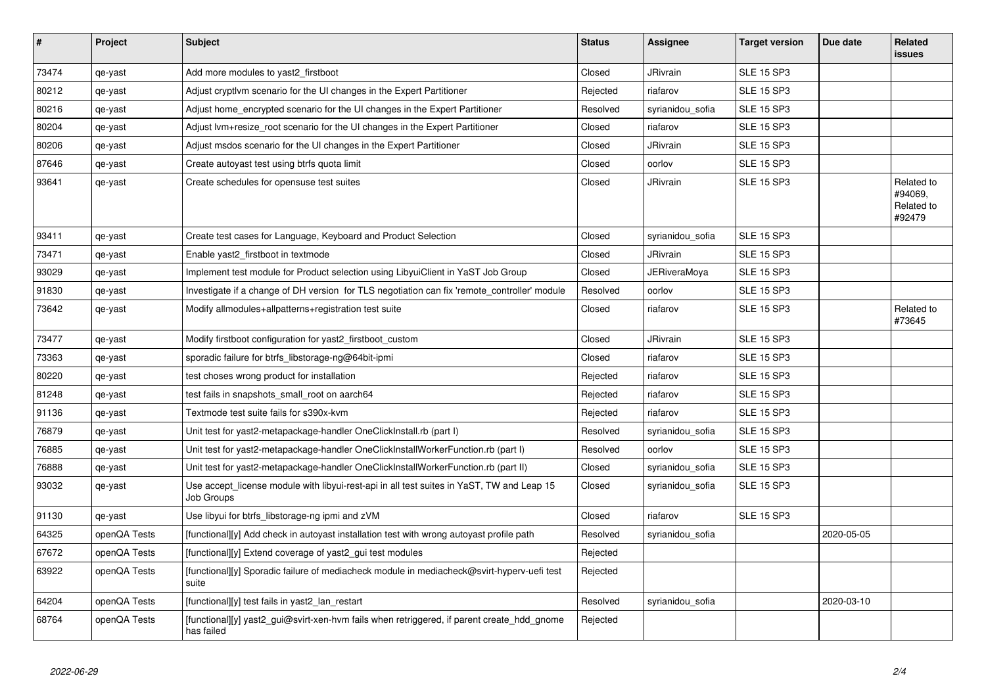| #     | <b>Project</b> | <b>Subject</b>                                                                                           | <b>Status</b> | Assignee            | <b>Target version</b> | Due date   | Related<br><b>issues</b>                      |
|-------|----------------|----------------------------------------------------------------------------------------------------------|---------------|---------------------|-----------------------|------------|-----------------------------------------------|
| 73474 | qe-yast        | Add more modules to yast2_firstboot                                                                      | Closed        | <b>JRivrain</b>     | <b>SLE 15 SP3</b>     |            |                                               |
| 80212 | qe-yast        | Adjust cryptivm scenario for the UI changes in the Expert Partitioner                                    | Rejected      | riafarov            | <b>SLE 15 SP3</b>     |            |                                               |
| 80216 | qe-yast        | Adjust home encrypted scenario for the UI changes in the Expert Partitioner                              | Resolved      | syrianidou_sofia    | <b>SLE 15 SP3</b>     |            |                                               |
| 80204 | qe-yast        | Adjust lvm+resize_root scenario for the UI changes in the Expert Partitioner                             | Closed        | riafarov            | <b>SLE 15 SP3</b>     |            |                                               |
| 80206 | qe-yast        | Adjust msdos scenario for the UI changes in the Expert Partitioner                                       | Closed        | <b>JRivrain</b>     | <b>SLE 15 SP3</b>     |            |                                               |
| 87646 | qe-yast        | Create autoyast test using btrfs quota limit                                                             | Closed        | oorlov              | <b>SLE 15 SP3</b>     |            |                                               |
| 93641 | qe-yast        | Create schedules for opensuse test suites                                                                | Closed        | <b>JRivrain</b>     | <b>SLE 15 SP3</b>     |            | Related to<br>#94069,<br>Related to<br>#92479 |
| 93411 | qe-yast        | Create test cases for Language, Keyboard and Product Selection                                           | Closed        | syrianidou sofia    | <b>SLE 15 SP3</b>     |            |                                               |
| 73471 | qe-yast        | Enable yast2 firstboot in textmode                                                                       | Closed        | <b>JRivrain</b>     | <b>SLE 15 SP3</b>     |            |                                               |
| 93029 | qe-yast        | Implement test module for Product selection using LibyuiClient in YaST Job Group                         | Closed        | <b>JERiveraMoya</b> | <b>SLE 15 SP3</b>     |            |                                               |
| 91830 | qe-yast        | Investigate if a change of DH version for TLS negotiation can fix 'remote controller' module             | Resolved      | oorlov              | <b>SLE 15 SP3</b>     |            |                                               |
| 73642 | qe-yast        | Modify allmodules+allpatterns+registration test suite                                                    | Closed        | riafarov            | <b>SLE 15 SP3</b>     |            | Related to<br>#73645                          |
| 73477 | qe-yast        | Modify firstboot configuration for yast2_firstboot_custom                                                | Closed        | JRivrain            | <b>SLE 15 SP3</b>     |            |                                               |
| 73363 | qe-yast        | sporadic failure for btrfs_libstorage-ng@64bit-ipmi                                                      | Closed        | riafarov            | <b>SLE 15 SP3</b>     |            |                                               |
| 80220 | qe-yast        | test choses wrong product for installation                                                               | Rejected      | riafarov            | <b>SLE 15 SP3</b>     |            |                                               |
| 81248 | qe-yast        | test fails in snapshots small root on aarch64                                                            | Rejected      | riafarov            | <b>SLE 15 SP3</b>     |            |                                               |
| 91136 | qe-yast        | Textmode test suite fails for s390x-kvm                                                                  | Rejected      | riafarov            | <b>SLE 15 SP3</b>     |            |                                               |
| 76879 | qe-yast        | Unit test for yast2-metapackage-handler OneClickInstall.rb (part I)                                      | Resolved      | syrianidou_sofia    | <b>SLE 15 SP3</b>     |            |                                               |
| 76885 | qe-yast        | Unit test for yast2-metapackage-handler OneClickInstallWorkerFunction.rb (part I)                        | Resolved      | oorlov              | <b>SLE 15 SP3</b>     |            |                                               |
| 76888 | qe-yast        | Unit test for yast2-metapackage-handler OneClickInstallWorkerFunction.rb (part II)                       | Closed        | syrianidou_sofia    | <b>SLE 15 SP3</b>     |            |                                               |
| 93032 | qe-yast        | Use accept license module with libyui-rest-api in all test suites in YaST, TW and Leap 15<br>Job Groups  | Closed        | syrianidou sofia    | <b>SLE 15 SP3</b>     |            |                                               |
| 91130 | qe-yast        | Use libyui for btrfs_libstorage-ng ipmi and zVM                                                          | Closed        | riafarov            | <b>SLE 15 SP3</b>     |            |                                               |
| 64325 | openQA Tests   | [functional][y] Add check in autoyast installation test with wrong autoyast profile path                 | Resolved      | syrianidou sofia    |                       | 2020-05-05 |                                               |
| 67672 | openQA Tests   | [functional][y] Extend coverage of yast2_gui test modules                                                | Rejected      |                     |                       |            |                                               |
| 63922 | openQA Tests   | [functional][y] Sporadic failure of mediacheck module in mediacheck@svirt-hyperv-uefi test<br>suite      | Rejected      |                     |                       |            |                                               |
| 64204 | openQA Tests   | [functional][y] test fails in yast2 lan restart                                                          | Resolved      | syrianidou sofia    |                       | 2020-03-10 |                                               |
| 68764 | openQA Tests   | [functional][y] yast2 gui@svirt-xen-hvm fails when retriggered, if parent create hdd gnome<br>has failed | Rejected      |                     |                       |            |                                               |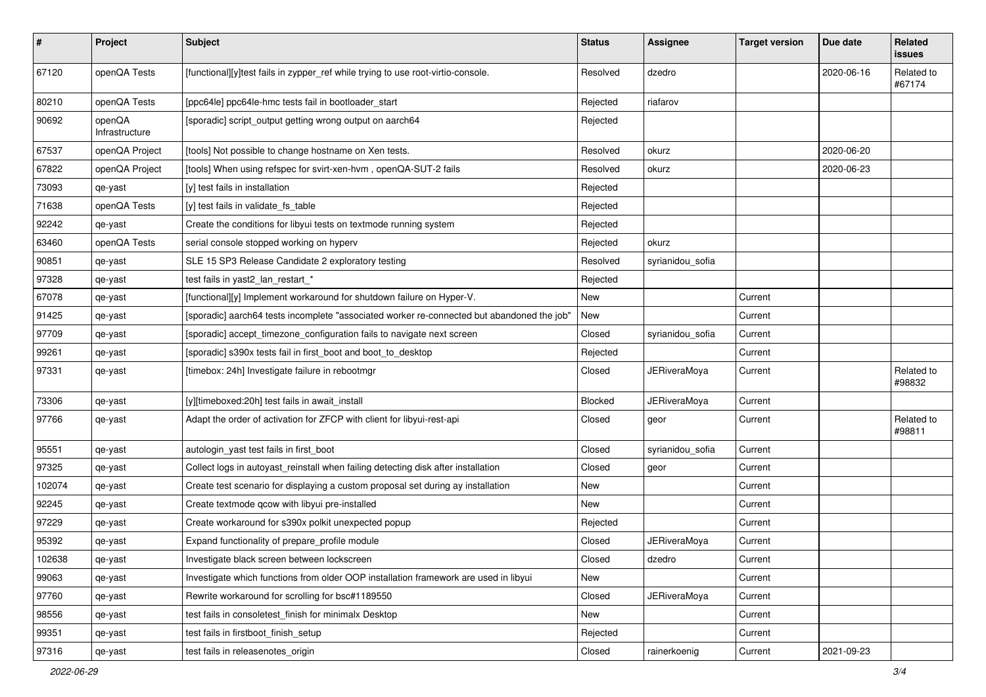| #      | Project                  | <b>Subject</b>                                                                             | <b>Status</b> | Assignee            | <b>Target version</b> | Due date   | Related<br>issues    |
|--------|--------------------------|--------------------------------------------------------------------------------------------|---------------|---------------------|-----------------------|------------|----------------------|
| 67120  | openQA Tests             | [functional][y]test fails in zypper_ref while trying to use root-virtio-console.           | Resolved      | dzedro              |                       | 2020-06-16 | Related to<br>#67174 |
| 80210  | openQA Tests             | [ppc64le] ppc64le-hmc tests fail in bootloader_start                                       | Rejected      | riafarov            |                       |            |                      |
| 90692  | openQA<br>Infrastructure | [sporadic] script_output getting wrong output on aarch64                                   | Rejected      |                     |                       |            |                      |
| 67537  | openQA Project           | [tools] Not possible to change hostname on Xen tests.                                      | Resolved      | okurz               |                       | 2020-06-20 |                      |
| 67822  | openQA Project           | [tools] When using refspec for svirt-xen-hvm, openQA-SUT-2 fails                           | Resolved      | okurz               |                       | 2020-06-23 |                      |
| 73093  | qe-yast                  | [y] test fails in installation                                                             | Rejected      |                     |                       |            |                      |
| 71638  | openQA Tests             | [y] test fails in validate_fs_table                                                        | Rejected      |                     |                       |            |                      |
| 92242  | qe-yast                  | Create the conditions for libyui tests on textmode running system                          | Rejected      |                     |                       |            |                      |
| 63460  | openQA Tests             | serial console stopped working on hyperv                                                   | Rejected      | okurz               |                       |            |                      |
| 90851  | qe-yast                  | SLE 15 SP3 Release Candidate 2 exploratory testing                                         | Resolved      | syrianidou_sofia    |                       |            |                      |
| 97328  | qe-yast                  | test fails in yast2_lan_restart_*                                                          | Rejected      |                     |                       |            |                      |
| 67078  | qe-yast                  | [functional][y] Implement workaround for shutdown failure on Hyper-V.                      | New           |                     | Current               |            |                      |
| 91425  | qe-yast                  | [sporadic] aarch64 tests incomplete "associated worker re-connected but abandoned the job" | New           |                     | Current               |            |                      |
| 97709  | qe-yast                  | [sporadic] accept_timezone_configuration fails to navigate next screen                     | Closed        | syrianidou_sofia    | Current               |            |                      |
| 99261  | qe-yast                  | [sporadic] s390x tests fail in first_boot and boot_to_desktop                              | Rejected      |                     | Current               |            |                      |
| 97331  | qe-yast                  | [timebox: 24h] Investigate failure in rebootmgr                                            | Closed        | <b>JERiveraMoya</b> | Current               |            | Related to<br>#98832 |
| 73306  | qe-yast                  | [y][timeboxed:20h] test fails in await_install                                             | Blocked       | <b>JERiveraMoya</b> | Current               |            |                      |
| 97766  | qe-yast                  | Adapt the order of activation for ZFCP with client for libyui-rest-api                     | Closed        | geor                | Current               |            | Related to<br>#98811 |
| 95551  | qe-yast                  | autologin_yast test fails in first_boot                                                    | Closed        | syrianidou_sofia    | Current               |            |                      |
| 97325  | qe-yast                  | Collect logs in autoyast_reinstall when failing detecting disk after installation          | Closed        | geor                | Current               |            |                      |
| 102074 | qe-yast                  | Create test scenario for displaying a custom proposal set during ay installation           | New           |                     | Current               |            |                      |
| 92245  | qe-yast                  | Create textmode qcow with libyui pre-installed                                             | New           |                     | Current               |            |                      |
| 97229  | qe-yast                  | Create workaround for s390x polkit unexpected popup                                        | Rejected      |                     | Current               |            |                      |
| 95392  | qe-yast                  | Expand functionality of prepare_profile module                                             | Closed        | <b>JERiveraMoya</b> | Current               |            |                      |
| 102638 | qe-yast                  | Investigate black screen between lockscreen                                                | Closed        | dzedro              | Current               |            |                      |
| 99063  | qe-yast                  | Investigate which functions from older OOP installation framework are used in libyui       | New           |                     | Current               |            |                      |
| 97760  | qe-yast                  | Rewrite workaround for scrolling for bsc#1189550                                           | Closed        | <b>JERiveraMoya</b> | Current               |            |                      |
| 98556  | qe-yast                  | test fails in consoletest_finish for minimalx Desktop                                      | New           |                     | Current               |            |                      |
| 99351  | qe-yast                  | test fails in firstboot_finish_setup                                                       | Rejected      |                     | Current               |            |                      |
| 97316  | qe-yast                  | test fails in releasenotes_origin                                                          | Closed        | rainerkoenig        | Current               | 2021-09-23 |                      |